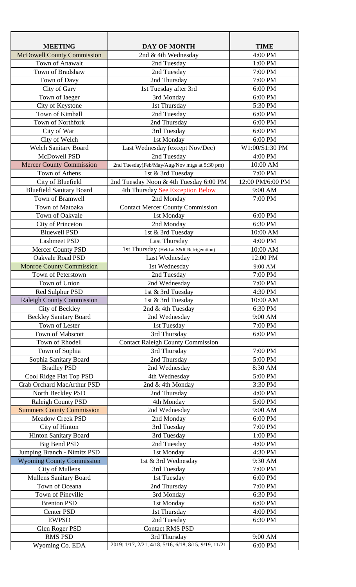| <b>MEETING</b>                                  | <b>DAY OF MONTH</b>                                   | <b>TIME</b>      |
|-------------------------------------------------|-------------------------------------------------------|------------------|
| <b>McDowell County Commission</b>               | 2nd & 4th Wednesday                                   | 4:00 PM          |
| Town of Anawalt                                 | 2nd Tuesday                                           | 1:00 PM          |
| Town of Bradshaw                                | 2nd Tuesday                                           | 7:00 PM          |
| Town of Davy                                    | 2nd Thursday                                          | 7:00 PM          |
| City of Gary                                    | 1st Tuesday after 3rd                                 | 6:00 PM          |
| Town of Iaeger                                  | 3rd Monday                                            | 6:00 PM          |
| City of Keystone                                | 1st Thursday                                          | 5:30 PM          |
| Town of Kimball                                 | 2nd Tuesday                                           | 6:00 PM          |
| <b>Town of Northfork</b>                        | 2nd Thursday                                          | 6:00 PM          |
| City of War                                     | 3rd Tuesday                                           | 6:00 PM          |
| City of Welch                                   | 1st Monday                                            | 6:00 PM          |
| <b>Welch Sanitary Board</b>                     | Last Wednesday (except Nov/Dec)                       | W1:00/S1:30 PM   |
| McDowell PSD                                    | 2nd Tuesday                                           | 4:00 PM          |
| <b>Mercer County Commission</b>                 | 2nd Tuesday(Feb/May/Aug/Nov mtgs at 5:30 pm)          | 10:00 AM         |
| Town of Athens                                  | 1st & 3rd Tuesday                                     | 7:00 PM          |
| City of Bluefield                               | 2nd Tuesday Noon & 4th Tuesday 6:00 PM                | 12:00 PM/6:00 PM |
| <b>Bluefield Sanitary Board</b>                 | 4th Thursday See Exception Below                      | 9:00 AM          |
| Town of Bramwell                                | 2nd Monday                                            | 7:00 PM          |
| Town of Matoaka                                 | <b>Contact Mercer County Commission</b>               |                  |
| Town of Oakvale                                 | 1st Monday                                            | 6:00 PM          |
| City of Princeton                               | 2nd Monday                                            | 6:30 PM          |
| <b>Bluewell PSD</b>                             | 1st & 3rd Tuesday                                     | 10:00 AM         |
| <b>Lashmeet PSD</b>                             | Last Thursday                                         | 4:00 PM          |
| <b>Mercer County PSD</b>                        | 1st Thursday (Held at S&R Refrigeration)              | 10:00 AM         |
| <b>Oakvale Road PSD</b>                         | Last Wednesday                                        | 12:00 PM         |
| <b>Monroe County Commission</b>                 | 1st Wednesday                                         | 9:00 AM          |
| Town of Peterstown                              | 2nd Tuesday                                           | 7:00 PM          |
| Town of Union                                   | 2nd Wednesday                                         | 7:00 PM          |
| Red Sulphur PSD                                 | 1st & 3rd Tuesday                                     | 4:30 PM          |
| <b>Raleigh County Commission</b>                | 1st & 3rd Tuesday                                     | 10:00 AM         |
| City of Beckley                                 | 2nd & 4th Tuesday                                     | 6:30 PM          |
|                                                 | 2nd Wednesday                                         | 9:00 AM          |
| <b>Beckley Sanitary Board</b><br>Town of Lester |                                                       | 7:00 PM          |
| Town of Mabscott                                | 1st Tuesday<br>3rd Thursday                           | 6:00 PM          |
|                                                 |                                                       |                  |
| Town of Rhodell                                 | <b>Contact Raleigh County Commission</b>              |                  |
| Town of Sophia                                  | 3rd Thursday                                          | 7:00 PM          |
| Sophia Sanitary Board                           | 2nd Thursday                                          | 5:00 PM          |
| <b>Bradley PSD</b>                              | 2nd Wednesday                                         | 8:30 AM          |
| Cool Ridge Flat Top PSD                         | 4th Wednesday                                         | 5:00 PM          |
| Crab Orchard MacArthur PSD                      | 2nd & 4th Monday                                      | 3:30 PM          |
| North Beckley PSD                               | 2nd Thursday                                          | 4:00 PM          |
| <b>Raleigh County PSD</b>                       | 4th Monday                                            | 5:00 PM          |
| <b>Summers County Commission</b>                | 2nd Wednesday                                         | 9:00 AM          |
| <b>Meadow Creek PSD</b>                         | 2nd Monday                                            | 6:00 PM          |
| City of Hinton                                  | 3rd Tuesday                                           | 7:00 PM          |
| <b>Hinton Sanitary Board</b>                    | 3rd Tuesday                                           | 1:00 PM          |
| <b>Big Bend PSD</b>                             | 2nd Tuesday                                           | 4:00 PM          |
| Jumping Branch - Nimitz PSD                     | 1st Monday                                            | 4:30 PM          |
| <b>Wyoming County Commission</b>                | 1st & 3rd Wednesday                                   | 9:30 AM          |
| <b>City of Mullens</b>                          | 3rd Tuesday                                           | 7:00 PM          |
| <b>Mullens Sanitary Board</b>                   | 1st Tuesday                                           | 6:00 PM          |
| Town of Oceana                                  | 2nd Thursday                                          | 7:00 PM          |
| Town of Pineville                               | 3rd Monday                                            | 6:30 PM          |
| <b>Brenton PSD</b>                              | 1st Monday                                            | 6:00 PM          |
| <b>Center PSD</b>                               | 1st Thursday                                          | 4:00 PM          |
| <b>EWPSD</b>                                    | 2nd Tuesday                                           | 6:30 PM          |
| Glen Roger PSD                                  | <b>Contact RMS PSD</b>                                |                  |
| <b>RMS PSD</b>                                  | 3rd Thursday                                          | 9:00 AM          |
| Wyoming Co. EDA                                 | 2019: 1/17, 2/21, 4/18, 5/16, 6/18, 8/15, 9/19, 11/21 | 6:00 PM          |